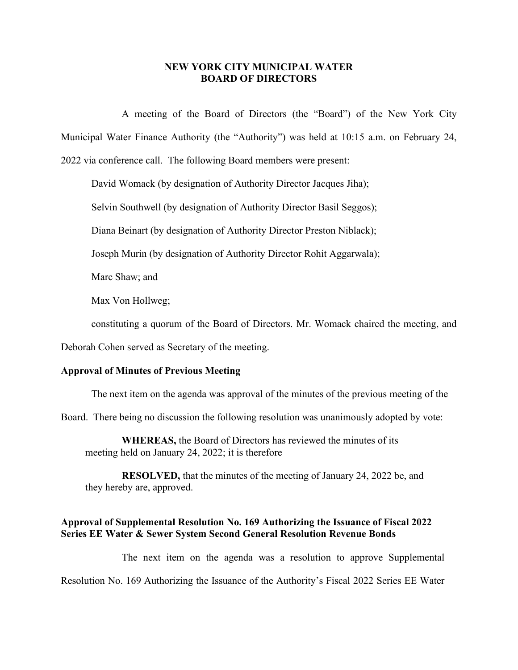## **NEW YORK CITY MUNICIPAL WATER BOARD OF DIRECTORS**

A meeting of the Board of Directors (the "Board") of the New York City Municipal Water Finance Authority (the "Authority") was held at 10:15 a.m. on February 24, 2022 via conference call. The following Board members were present:

David Womack (by designation of Authority Director Jacques Jiha);

Selvin Southwell (by designation of Authority Director Basil Seggos);

Diana Beinart (by designation of Authority Director Preston Niblack);

Joseph Murin (by designation of Authority Director Rohit Aggarwala);

Marc Shaw; and

Max Von Hollweg;

constituting a quorum of the Board of Directors. Mr. Womack chaired the meeting, and

Deborah Cohen served as Secretary of the meeting.

## **Approval of Minutes of Previous Meeting**

The next item on the agenda was approval of the minutes of the previous meeting of the

Board. There being no discussion the following resolution was unanimously adopted by vote:

**WHEREAS,** the Board of Directors has reviewed the minutes of its meeting held on January 24, 2022; it is therefore

**RESOLVED,** that the minutes of the meeting of January 24, 2022 be, and they hereby are, approved.

## **Approval of Supplemental Resolution No. 169 Authorizing the Issuance of Fiscal 2022 Series EE Water & Sewer System Second General Resolution Revenue Bonds**

The next item on the agenda was a resolution to approve Supplemental Resolution No. 169 Authorizing the Issuance of the Authority's Fiscal 2022 Series EE Water